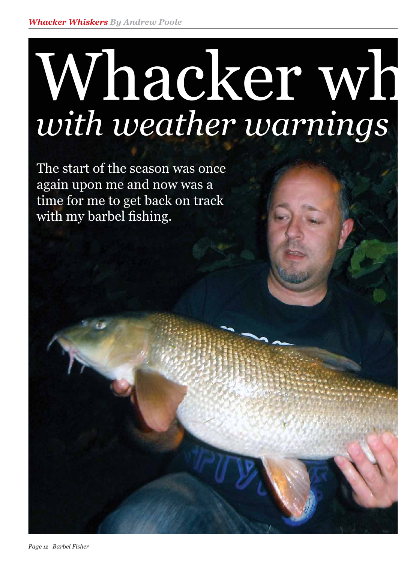## Whacker wh *with weather warnings*

The start of the season was once again upon me and now was a time for me to get back on track with my barbel fishing.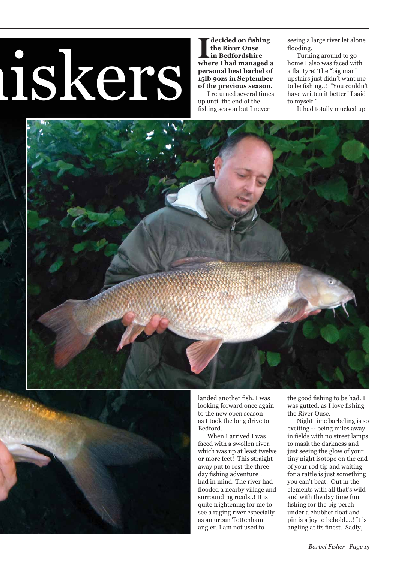## hiskers

decided on fishing **the River Ouse in Bedfordshire where I had managed a personal best barbel of 15lb 9ozs in September of the previous season.**

 I returned several times up until the end of the fishing season but I never

seeing a large river let alone flooding.

 Turning around to go home I also was faced with a flat tyre! The "big man" upstairs just didn't want me to be fishing..! "You couldn't have written it better" I said to myself."

It had totally mucked up





landed another fish. I was looking forward once again to the new open season as I took the long drive to Bedford.

 When I arrived I was faced with a swollen river, which was up at least twelve or more feet! This straight away put to rest the three day fishing adventure I had in mind. The river had flooded a nearby village and surrounding roads..! It is quite frightening for me to see a raging river especially as an urban Tottenham angler. I am not used to

the good fishing to be had. I was gutted, as  $I$  love fishing the River Ouse.

 Night time barbeling is so exciting -- being miles away in fields with no street lamps to mask the darkness and just seeing the glow of your tiny night isotope on the end of your rod tip and waiting for a rattle is just something you can't beat. Out in the elements with all that's wild and with the day time fun fishing for the big perch under a chubber float and pin is a joy to behold....! It is angling at its finest. Sadly,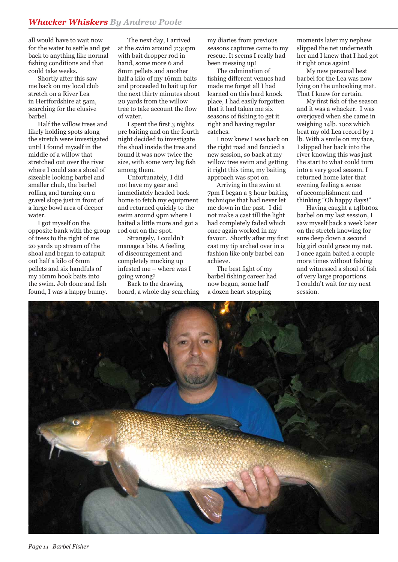all would have to wait now for the water to settle and get back to anything like normal fishing conditions and that could take weeks.

 Shortly after this saw me back on my local club stretch on a River Lea in Hertfordshire at 5am, searching for the elusive barbel.

 Half the willow trees and likely holding spots along the stretch were investigated until I found myself in the middle of a willow that stretched out over the river where I could see a shoal of sizeable looking barbel and smaller chub, the barbel rolling and turning on a gravel slope just in front of a large bowl area of deeper water.

 I got myself on the opposite bank with the group of trees to the right of me 20 yards up stream of the shoal and began to catapult out half a kilo of 6mm pellets and six handfuls of my 16mm hook baits into the swim. Job done and fish found, I was a happy bunny.

 The next day, I arrived at the swim around 7:30pm with bait dropper rod in hand, some more 6 and 8mm pellets and another half a kilo of my 16mm baits and proceeded to bait up for the next thirty minutes about 20 yards from the willow tree to take account the flow of water.

I spent the first 3 nights pre baiting and on the fourth night decided to investigate the shoal inside the tree and found it was now twice the size, with some very big fish among them.

 Unfortunately, I did not have my gear and immediately headed back home to fetch my equipment and returned quickly to the swim around 9pm where I baited a little more and got a rod out on the spot.

 Strangely, I couldn't manage a bite. A feeling of discouragement and completely mucking up infested me – where was I going wrong?

 Back to the drawing board, a whole day searching my diaries from previous seasons captures came to my rescue. It seems I really had been messing up!

 The culmination of fishing different venues had made me forget all I had learned on this hard knock place, I had easily forgotten that it had taken me six seasons of fishing to get it right and having regular catches.

 I now knew I was back on the right road and fancied a new session, so back at my willow tree swim and getting it right this time, my baiting approach was spot on.

 Arriving in the swim at 7pm I began a 3 hour baiting technique that had never let me down in the past. I did not make a cast till the light had completely faded which once again worked in my favour. Shortly after my first cast my tip arched over in a fashion like only barbel can achieve.

The best fight of my barbel fishing career had now begun, some half a dozen heart stopping

moments later my nephew slipped the net underneath her and I knew that I had got it right once again!

 My new personal best barbel for the Lea was now lying on the unhooking mat. That I knew for certain.

My first fish of the season and it was a whacker. I was overjoyed when she came in weighing 14lb. 10oz which beat my old Lea record by 1 lb. With a smile on my face, I slipped her back into the river knowing this was just the start to what could turn into a very good season. I returned home later that evening feeling a sense of accomplishment and thinking "Oh happy days!"

 Having caught a 14lb10oz barbel on my last session, I saw myself back a week later on the stretch knowing for sure deep down a second big girl could grace my net. I once again baited a couple more times without fishing and witnessed a shoal of fish of very large proportions. I couldn't wait for my next session.

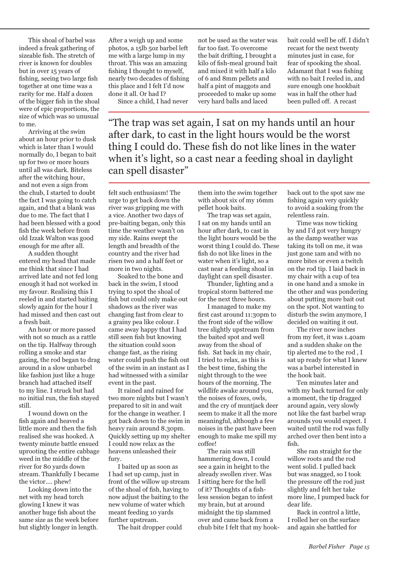This shoal of barbel was indeed a freak gathering of sizeable fish. The stretch of river is known for doubles but in over 15 years of fishing, seeing two large fish together at one time was a rarity for me. Half a dozen of the bigger fish in the shoal were of epic proportions, the size of which was so unusual to me.

 Arriving at the swim about an hour prior to dusk which is later than I would normally do, I began to bait up for two or more hours until all was dark. Biteless after the witching hour, and not even a sign from the chub, I started to doubt the fact I was going to catch again, and that a blank was due to me. The fact that I had been blessed with a good fish the week before from old Izzak Walton was good enough for me after all.

 A sudden thought entered my head that made me think that since I had arrived late and not fed long enough it had not worked in my favour. Realising this I reeled in and started baiting slowly again for the hour I had missed and then cast out a fresh bait.

 An hour or more passed with not so much as a rattle on the tip. Halfway through rolling a smoke and star gazing, the rod began to drag around in a slow unbarbel like fashion just like a huge branch had attached itself to my line. I struck but had no initial run, the fish stayed still.

 I wound down on the fish again and heaved a little more and then the fish realised she was hooked. A twenty minute battle ensued uprooting the entire cabbage weed in the middle of the river for 80 yards down stream. Thankfully I became the victor.... phew!

 Looking down into the net with my head torch glowing I knew it was another huge fish about the same size as the week before but slightly longer in length.

After a weigh up and some photos, a 15lb 5oz barbel left me with a large lump in my throat. This was an amazing fishing I thought to myself, nearly two decades of fishing this place and I felt I'd now done it all. Or had I?

Since a child, I had never

not be used as the water was far too fast. To overcome the bait drifting, I brought a kilo of fish-meal ground bait and mixed it with half a kilo of 6 and 8mm pellets and half a pint of maggots and proceeded to make up some very hard balls and laced

bait could well be off. I didn't recast for the next twenty minutes just in case, for fear of spooking the shoal. Adamant that I was fishing with no bait I reeled in, and sure enough one hookbait was in half the other had been pulled off. A recast

"The trap was set again, I sat on my hands until an hour after dark, to cast in the light hours would be the worst thing I could do. These fish do not like lines in the water when it's light, so a cast near a feeding shoal in daylight can spell disaster"

felt such enthusiasm! The urge to get back down the river was gripping me with a vice. Another two days of pre-baiting began, only this time the weather wasn't on my side. Rains swept the length and breadth of the country and the river had risen two and a half feet or more in two nights.

 Soaked to the bone and back in the swim, I stood trying to spot the shoal of fish but could only make out shadows as the river was changing fast from clear to a grainy pea like colour. I came away happy that I had still seen fish but knowing the situation could soon change fast, as the rising water could push the fish out of the swim in an instant as I had witnessed with a similar event in the past.

 It rained and rained for two more nights but I wasn't prepared to sit in and wait for the change in weather. I got back down to the swim in heavy rain around 8.30pm. Quickly setting up my shelter I could now relax as the heavens unleashed their fury.

 I baited up as soon as I had set up camp, just in front of the willow up stream of the shoal of fish, having to now adjust the baiting to the new volume of water which meant feeding 10 yards further upstream.

The bait dropper could

them into the swim together with about six of my 16mm pellet hook baits.

 The trap was set again, I sat on my hands until an hour after dark, to cast in the light hours would be the worst thing I could do. These fish do not like lines in the water when it's light, so a cast near a feeding shoal in daylight can spell disaster.

 Thunder, lighting and a tropical storm battered me for the next three hours.

 I managed to make my first cast around 11:30pm to the front side of the willow tree slightly upstream from the baited spot and well away from the shoal of fish. Sat back in my chair, I tried to relax, as this is the best time, fishing the night through to the wee hours of the morning. The wildlife awake around you, the noises of foxes, owls, and the cry of muntjack deer seem to make it all the more meaningful, although a few noises in the past have been enough to make me spill my coffee!

 The rain was still hammering down, I could see a gain in height to the already swollen river. Was I sitting here for the hell of it? Thoughts of a fishless session began to infest my brain, but at around midnight the tip slammed over and came back from a chub bite I felt that my hookback out to the spot saw me fishing again very quickly to avoid a soaking from the relentless rain.

 Time was now ticking by and I'd got very hungry as the damp weather was taking its toll on me, it was just gone 1am and with no more bites or even a twitch on the rod tip. I laid back in my chair with a cup of tea in one hand and a smoke in the other and was pondering about putting more bait out on the spot. Not wanting to disturb the swim anymore, I decided on waiting it out.

 The river now inches from my feet, it was 1.40am and a sudden shake on the tip alerted me to the rod , I sat up ready for what I knew was a barbel interested in the hook bait.

 Ten minutes later and with my back turned for only a moment, the tip dragged around again, very slowly not like the fast barbel wrap arounds you would expect. I waited until the rod was fully arched over then bent into a fi sh.

 She ran straight for the willow roots and the rod went solid. I pulled back but was snagged, so I took the pressure off the rod just slightly and felt her take more line, I pumped back for dear life.

 Back in control a little, I rolled her on the surface and again she battled for